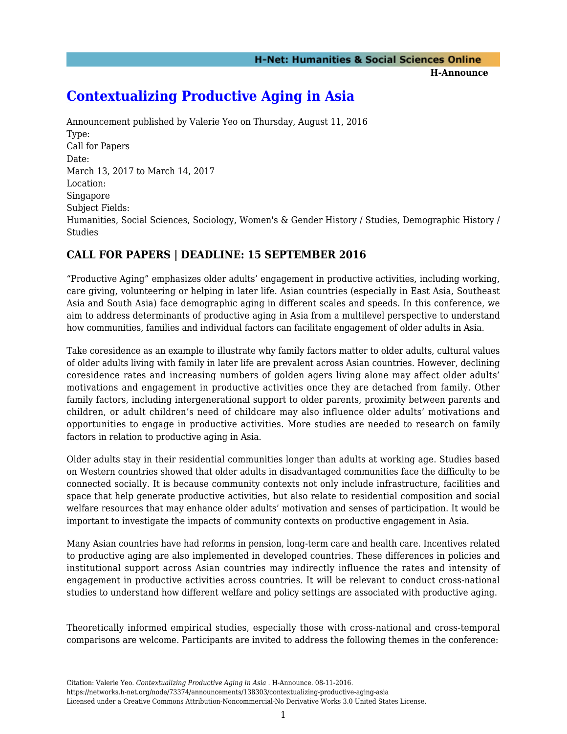**H-Announce** 

# **[Contextualizing Productive Aging in Asia](https://networks.h-net.org/node/73374/announcements/138303/contextualizing-productive-aging-asia)**

Announcement published by Valerie Yeo on Thursday, August 11, 2016 Type: Call for Papers Date: March 13, 2017 to March 14, 2017 Location: Singapore Subject Fields: Humanities, Social Sciences, Sociology, Women's & Gender History / Studies, Demographic History / Studies

# **CALL FOR PAPERS | DEADLINE: 15 SEPTEMBER 2016**

"Productive Aging" emphasizes older adults' engagement in productive activities, including working, care giving, volunteering or helping in later life. Asian countries (especially in East Asia, Southeast Asia and South Asia) face demographic aging in different scales and speeds. In this conference, we aim to address determinants of productive aging in Asia from a multilevel perspective to understand how communities, families and individual factors can facilitate engagement of older adults in Asia.

Take coresidence as an example to illustrate why family factors matter to older adults, cultural values of older adults living with family in later life are prevalent across Asian countries. However, declining coresidence rates and increasing numbers of golden agers living alone may affect older adults' motivations and engagement in productive activities once they are detached from family. Other family factors, including intergenerational support to older parents, proximity between parents and children, or adult children's need of childcare may also influence older adults' motivations and opportunities to engage in productive activities. More studies are needed to research on family factors in relation to productive aging in Asia.

Older adults stay in their residential communities longer than adults at working age. Studies based on Western countries showed that older adults in disadvantaged communities face the difficulty to be connected socially. It is because community contexts not only include infrastructure, facilities and space that help generate productive activities, but also relate to residential composition and social welfare resources that may enhance older adults' motivation and senses of participation. It would be important to investigate the impacts of community contexts on productive engagement in Asia.

Many Asian countries have had reforms in pension, long-term care and health care. Incentives related to productive aging are also implemented in developed countries. These differences in policies and institutional support across Asian countries may indirectly influence the rates and intensity of engagement in productive activities across countries. It will be relevant to conduct cross-national studies to understand how different welfare and policy settings are associated with productive aging.

Theoretically informed empirical studies, especially those with cross-national and cross-temporal comparisons are welcome. Participants are invited to address the following themes in the conference: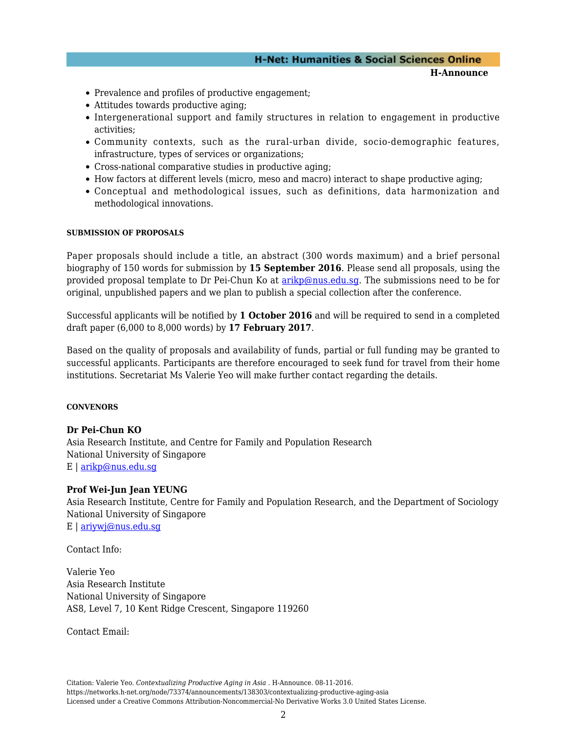### **H-Net: Humanities & Social Sciences Online**

**H-Announce** 

- Prevalence and profiles of productive engagement;
- Attitudes towards productive aging;
- Intergenerational support and family structures in relation to engagement in productive activities;
- Community contexts, such as the rural-urban divide, socio-demographic features, infrastructure, types of services or organizations;
- Cross-national comparative studies in productive aging;
- How factors at different levels (micro, meso and macro) interact to shape productive aging;
- Conceptual and methodological issues, such as definitions, data harmonization and methodological innovations.

#### **SUBMISSION OF PROPOSALS**

Paper proposals should include a title, an abstract (300 words maximum) and a brief personal biography of 150 words for submission by **15 September 2016**. Please send all proposals, using the provided proposal template to Dr Pei-Chun Ko at [arikp@nus.edu.sg.](mailto:arikp@nus.edu.sg) The submissions need to be for original, unpublished papers and we plan to publish a special collection after the conference.

Successful applicants will be notified by **1 October 2016** and will be required to send in a completed draft paper (6,000 to 8,000 words) by **17 February 2017**.

Based on the quality of proposals and availability of funds, partial or full funding may be granted to successful applicants. Participants are therefore encouraged to seek fund for travel from their home institutions. Secretariat Ms Valerie Yeo will make further contact regarding the details.

#### **CONVENORS**

#### **Dr Pei-Chun KO**

Asia Research Institute, and Centre for Family and Population Research National University of Singapore E | [arikp@nus.edu.sg](mailto:arikp@nus.edu.sg)

#### **Prof Wei-Jun Jean YEUNG**

Asia Research Institute, Centre for Family and Population Research, and the Department of Sociology National University of Singapore E | [ariywj@nus.edu.sg](mailto:ariywj@nus.edu.sg)

Contact Info:

Valerie Yeo Asia Research Institute National University of Singapore AS8, Level 7, 10 Kent Ridge Crescent, Singapore 119260

Contact Email:

Citation: Valerie Yeo. *Contextualizing Productive Aging in Asia* . H-Announce. 08-11-2016. https://networks.h-net.org/node/73374/announcements/138303/contextualizing-productive-aging-asia Licensed under a Creative Commons Attribution-Noncommercial-No Derivative Works 3.0 United States License.